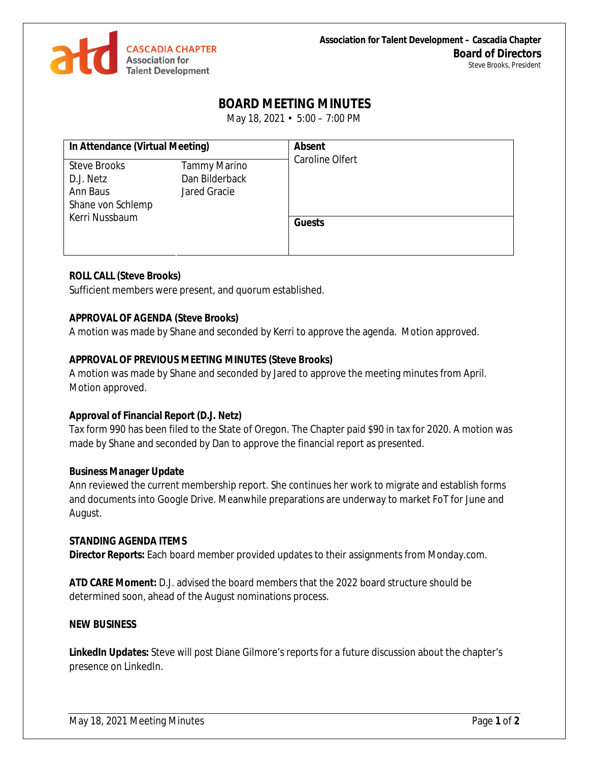

# **BOARD MEETING MINUTES**

May 18, 2021 • 5:00 – 7:00 PM

| In Attendance (Virtual Meeting) |                     | <b>Absent</b><br>Caroline Olfert |
|---------------------------------|---------------------|----------------------------------|
| <b>Steve Brooks</b>             | <b>Tammy Marino</b> |                                  |
| D.J. Netz                       | Dan Bilderback      |                                  |
| Ann Baus                        | Jared Gracie        |                                  |
| Shane von Schlemp               |                     |                                  |
| Kerri Nussbaum                  |                     |                                  |
|                                 |                     | <b>Guests</b>                    |
|                                 |                     |                                  |
|                                 |                     |                                  |

### **ROLL CALL (Steve Brooks)**

Sufficient members were present, and quorum established.

#### **APPROVAL OF AGENDA (Steve Brooks)**

A motion was made by Shane and seconded by Kerri to approve the agenda. Motion approved.

# **APPROVAL OF PREVIOUS MEETING MINUTES (Steve Brooks)**

A motion was made by Shane and seconded by Jared to approve the meeting minutes from April. Motion approved.

#### **Approval of Financial Report (D.J. Netz)**

Tax form 990 has been filed to the State of Oregon. The Chapter paid \$90 in tax for 2020. A motion was made by Shane and seconded by Dan to approve the financial report as presented.

#### **Business Manager Update**

Ann reviewed the current membership report. She continues her work to migrate and establish forms and documents into Google Drive. Meanwhile preparations are underway to market FoT for June and August.

#### **STANDING AGENDA ITEMS**

**Director Reports:** Each board member provided updates to their assignments from Monday.com.

**ATD CARE Moment:** D.J. advised the board members that the 2022 board structure should be determined soon, ahead of the August nominations process.

#### **NEW BUSINESS**

**LinkedIn Updates:** Steve will post Diane Gilmore's reports for a future discussion about the chapter's presence on LinkedIn.